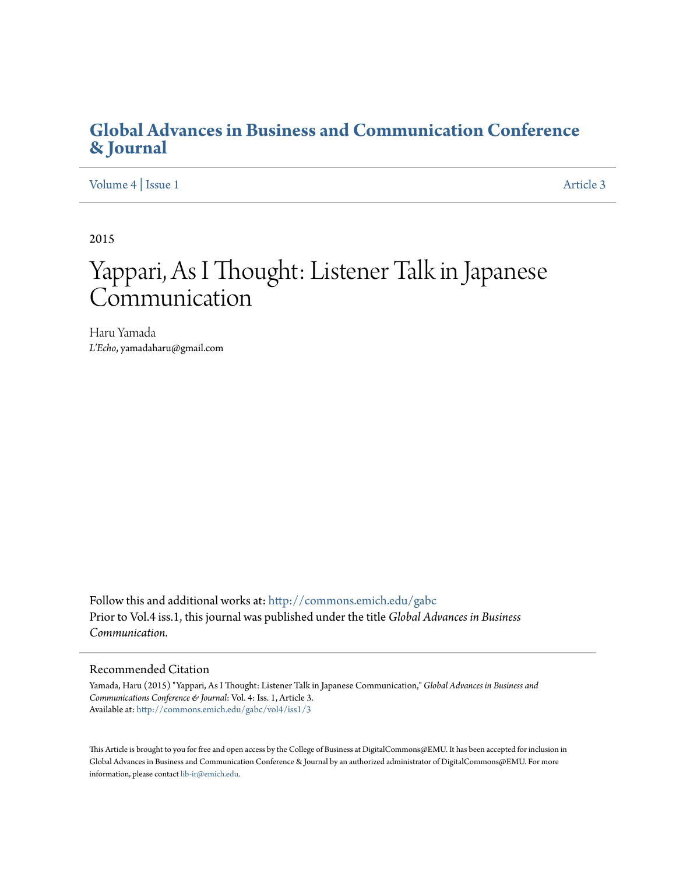## **[Global Advances in Business and Communication Conference](http://commons.emich.edu/gabc?utm_source=commons.emich.edu%2Fgabc%2Fvol4%2Fiss1%2F3&utm_medium=PDF&utm_campaign=PDFCoverPages) [& Journal](http://commons.emich.edu/gabc?utm_source=commons.emich.edu%2Fgabc%2Fvol4%2Fiss1%2F3&utm_medium=PDF&utm_campaign=PDFCoverPages)**

[Volume 4](http://commons.emich.edu/gabc/vol4?utm_source=commons.emich.edu%2Fgabc%2Fvol4%2Fiss1%2F3&utm_medium=PDF&utm_campaign=PDFCoverPages) | [Issue 1](http://commons.emich.edu/gabc/vol4/iss1?utm_source=commons.emich.edu%2Fgabc%2Fvol4%2Fiss1%2F3&utm_medium=PDF&utm_campaign=PDFCoverPages) [Article 3](http://commons.emich.edu/gabc/vol4/iss1/3?utm_source=commons.emich.edu%2Fgabc%2Fvol4%2Fiss1%2F3&utm_medium=PDF&utm_campaign=PDFCoverPages)

2015

# Yappari, As I Thought: Listener Talk in Japanese Communication

Haru Yamada *L'Echo*, yamadaharu@gmail.com

Follow this and additional works at: [http://commons.emich.edu/gabc](http://commons.emich.edu/gabc?utm_source=commons.emich.edu%2Fgabc%2Fvol4%2Fiss1%2F3&utm_medium=PDF&utm_campaign=PDFCoverPages) Prior to Vol.4 iss.1, this journal was published under the title *Global Advances in Business Communication.*

#### Recommended Citation

Yamada, Haru (2015) "Yappari, As I Thought: Listener Talk in Japanese Communication," *Global Advances in Business and Communications Conference & Journal*: Vol. 4: Iss. 1, Article 3. Available at: [http://commons.emich.edu/gabc/vol4/iss1/3](http://commons.emich.edu/gabc/vol4/iss1/3?utm_source=commons.emich.edu%2Fgabc%2Fvol4%2Fiss1%2F3&utm_medium=PDF&utm_campaign=PDFCoverPages)

This Article is brought to you for free and open access by the College of Business at DigitalCommons@EMU. It has been accepted for inclusion in Global Advances in Business and Communication Conference & Journal by an authorized administrator of DigitalCommons@EMU. For more information, please contact [lib-ir@emich.edu](mailto:lib-ir@emich.edu).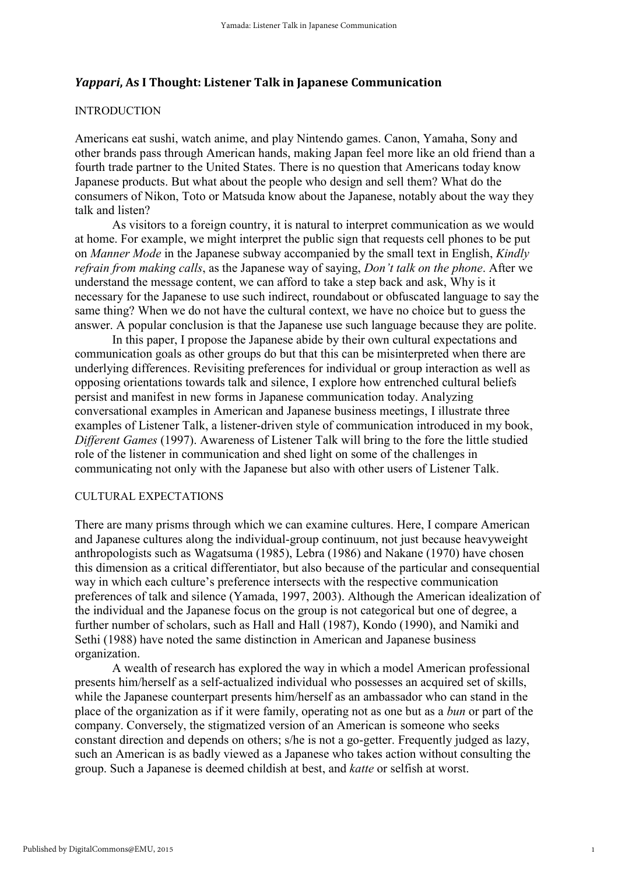## *Yappari***, As I Thought: Listener Talk in Japanese Communication**

## INTRODUCTION

Americans eat sushi, watch anime, and play Nintendo games. Canon, Yamaha, Sony and other brands pass through American hands, making Japan feel more like an old friend than a fourth trade partner to the United States. There is no question that Americans today know Japanese products. But what about the people who design and sell them? What do the consumers of Nikon, Toto or Matsuda know about the Japanese, notably about the way they talk and listen?

As visitors to a foreign country, it is natural to interpret communication as we would at home. For example, we might interpret the public sign that requests cell phones to be put on *Manner Mode* in the Japanese subway accompanied by the small text in English, *Kindly refrain from making calls*, as the Japanese way of saying, *Don't talk on the phone*. After we understand the message content, we can afford to take a step back and ask, Why is it necessary for the Japanese to use such indirect, roundabout or obfuscated language to say the same thing? When we do not have the cultural context, we have no choice but to guess the answer. A popular conclusion is that the Japanese use such language because they are polite.

In this paper, I propose the Japanese abide by their own cultural expectations and communication goals as other groups do but that this can be misinterpreted when there are underlying differences. Revisiting preferences for individual or group interaction as well as opposing orientations towards talk and silence, I explore how entrenched cultural beliefs persist and manifest in new forms in Japanese communication today. Analyzing conversational examples in American and Japanese business meetings, I illustrate three examples of Listener Talk, a listener-driven style of communication introduced in my book, *Different Games* (1997). Awareness of Listener Talk will bring to the fore the little studied role of the listener in communication and shed light on some of the challenges in communicating not only with the Japanese but also with other users of Listener Talk.

## CULTURAL EXPECTATIONS

There are many prisms through which we can examine cultures. Here, I compare American and Japanese cultures along the individual-group continuum, not just because heavyweight anthropologists such as Wagatsuma (1985), Lebra (1986) and Nakane (1970) have chosen this dimension as a critical differentiator, but also because of the particular and consequential way in which each culture's preference intersects with the respective communication preferences of talk and silence (Yamada, 1997, 2003). Although the American idealization of the individual and the Japanese focus on the group is not categorical but one of degree, a further number of scholars, such as Hall and Hall (1987), Kondo (1990), and Namiki and Sethi (1988) have noted the same distinction in American and Japanese business organization.

A wealth of research has explored the way in which a model American professional presents him/herself as a self-actualized individual who possesses an acquired set of skills, while the Japanese counterpart presents him/herself as an ambassador who can stand in the place of the organization as if it were family, operating not as one but as a *bun* or part of the company. Conversely, the stigmatized version of an American is someone who seeks constant direction and depends on others; s/he is not a go-getter. Frequently judged as lazy, such an American is as badly viewed as a Japanese who takes action without consulting the group. Such a Japanese is deemed childish at best, and *katte* or selfish at worst.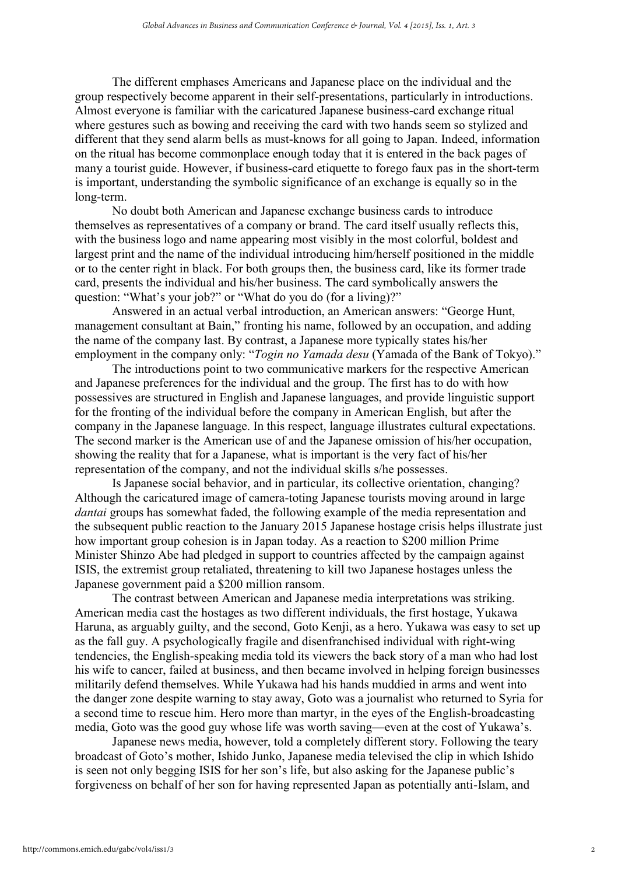The different emphases Americans and Japanese place on the individual and the group respectively become apparent in their self-presentations, particularly in introductions. Almost everyone is familiar with the caricatured Japanese business-card exchange ritual where gestures such as bowing and receiving the card with two hands seem so stylized and different that they send alarm bells as must-knows for all going to Japan. Indeed, information on the ritual has become commonplace enough today that it is entered in the back pages of many a tourist guide. However, if business-card etiquette to forego faux pas in the short-term is important, understanding the symbolic significance of an exchange is equally so in the long-term.

No doubt both American and Japanese exchange business cards to introduce themselves as representatives of a company or brand. The card itself usually reflects this, with the business logo and name appearing most visibly in the most colorful, boldest and largest print and the name of the individual introducing him/herself positioned in the middle or to the center right in black. For both groups then, the business card, like its former trade card, presents the individual and his/her business. The card symbolically answers the question: "What's your job?" or "What do you do (for a living)?"

Answered in an actual verbal introduction, an American answers: "George Hunt, management consultant at Bain," fronting his name, followed by an occupation, and adding the name of the company last. By contrast, a Japanese more typically states his/her employment in the company only: "*Togin no Yamada desu* (Yamada of the Bank of Tokyo)."

The introductions point to two communicative markers for the respective American and Japanese preferences for the individual and the group. The first has to do with how possessives are structured in English and Japanese languages, and provide linguistic support for the fronting of the individual before the company in American English, but after the company in the Japanese language. In this respect, language illustrates cultural expectations. The second marker is the American use of and the Japanese omission of his/her occupation, showing the reality that for a Japanese, what is important is the very fact of his/her representation of the company, and not the individual skills s/he possesses.

Is Japanese social behavior, and in particular, its collective orientation, changing? Although the caricatured image of camera-toting Japanese tourists moving around in large *dantai* groups has somewhat faded, the following example of the media representation and the subsequent public reaction to the January 2015 Japanese hostage crisis helps illustrate just how important group cohesion is in Japan today. As a reaction to \$200 million Prime Minister Shinzo Abe had pledged in support to countries affected by the campaign against ISIS, the extremist group retaliated, threatening to kill two Japanese hostages unless the Japanese government paid a \$200 million ransom.

The contrast between American and Japanese media interpretations was striking. American media cast the hostages as two different individuals, the first hostage, Yukawa Haruna, as arguably guilty, and the second, Goto Kenji, as a hero. Yukawa was easy to set up as the fall guy. A psychologically fragile and disenfranchised individual with right-wing tendencies, the English-speaking media told its viewers the back story of a man who had lost his wife to cancer, failed at business, and then became involved in helping foreign businesses militarily defend themselves. While Yukawa had his hands muddied in arms and went into the danger zone despite warning to stay away, Goto was a journalist who returned to Syria for a second time to rescue him. Hero more than martyr, in the eyes of the English-broadcasting media, Goto was the good guy whose life was worth saving—even at the cost of Yukawa's.

Japanese news media, however, told a completely different story. Following the teary broadcast of Goto's mother, Ishido Junko, Japanese media televised the clip in which Ishido is seen not only begging ISIS for her son's life, but also asking for the Japanese public's forgiveness on behalf of her son for having represented Japan as potentially anti-Islam, and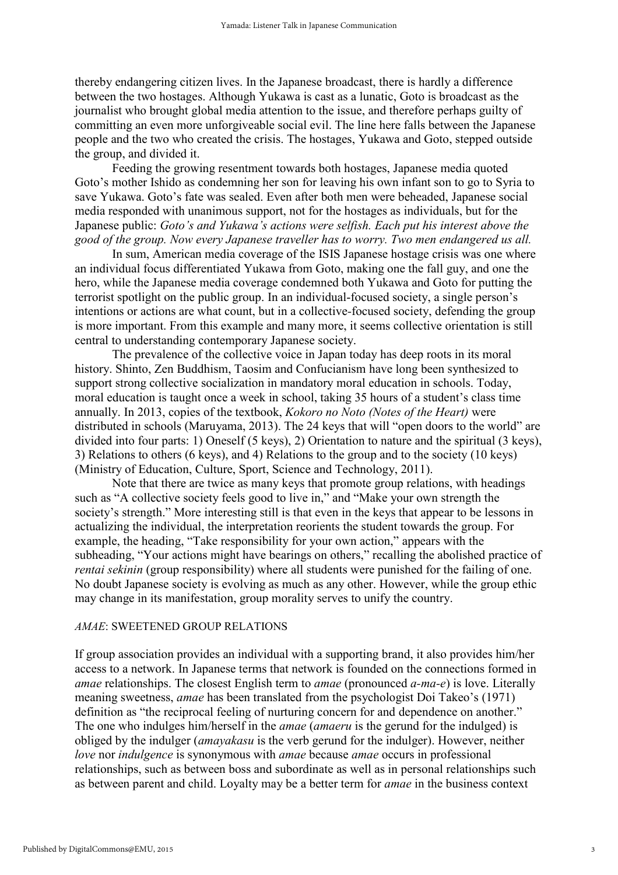thereby endangering citizen lives. In the Japanese broadcast, there is hardly a difference between the two hostages. Although Yukawa is cast as a lunatic, Goto is broadcast as the journalist who brought global media attention to the issue, and therefore perhaps guilty of committing an even more unforgiveable social evil. The line here falls between the Japanese people and the two who created the crisis. The hostages, Yukawa and Goto, stepped outside the group, and divided it.

Feeding the growing resentment towards both hostages, Japanese media quoted Goto's mother Ishido as condemning her son for leaving his own infant son to go to Syria to save Yukawa. Goto's fate was sealed. Even after both men were beheaded, Japanese social media responded with unanimous support, not for the hostages as individuals, but for the Japanese public: *Goto's and Yukawa's actions were selfish. Each put his interest above the good of the group. Now every Japanese traveller has to worry. Two men endangered us all.*

In sum, American media coverage of the ISIS Japanese hostage crisis was one where an individual focus differentiated Yukawa from Goto, making one the fall guy, and one the hero, while the Japanese media coverage condemned both Yukawa and Goto for putting the terrorist spotlight on the public group. In an individual-focused society, a single person's intentions or actions are what count, but in a collective*-*focused society, defending the group is more important. From this example and many more, it seems collective orientation is still central to understanding contemporary Japanese society.

The prevalence of the collective voice in Japan today has deep roots in its moral history. Shinto, Zen Buddhism, Taosim and Confucianism have long been synthesized to support strong collective socialization in mandatory moral education in schools. Today, moral education is taught once a week in school, taking 35 hours of a student's class time annually. In 2013, copies of the textbook, *Kokoro no Noto (Notes of the Heart)* were distributed in schools (Maruyama, 2013). The 24 keys that will "open doors to the world" are divided into four parts: 1) Oneself (5 keys), 2) Orientation to nature and the spiritual (3 keys), 3) Relations to others (6 keys), and 4) Relations to the group and to the society (10 keys) (Ministry of Education, Culture, Sport, Science and Technology, 2011).

Note that there are twice as many keys that promote group relations, with headings such as "A collective society feels good to live in," and "Make your own strength the society's strength." More interesting still is that even in the keys that appear to be lessons in actualizing the individual, the interpretation reorients the student towards the group. For example, the heading, "Take responsibility for your own action," appears with the subheading, "Your actions might have bearings on others," recalling the abolished practice of *rentai sekinin* (group responsibility) where all students were punished for the failing of one. No doubt Japanese society is evolving as much as any other. However, while the group ethic may change in its manifestation, group morality serves to unify the country.

## *AMAE*: SWEETENED GROUP RELATIONS

If group association provides an individual with a supporting brand, it also provides him/her access to a network. In Japanese terms that network is founded on the connections formed in *amae* relationships. The closest English term to *amae* (pronounced *a-ma-e*) is love. Literally meaning sweetness, *amae* has been translated from the psychologist Doi Takeo's (1971) definition as "the reciprocal feeling of nurturing concern for and dependence on another." The one who indulges him/herself in the *amae* (*amaeru* is the gerund for the indulged) is obliged by the indulger (*amayakasu* is the verb gerund for the indulger). However, neither *love* nor *indulgence* is synonymous with *amae* because *amae* occurs in professional relationships, such as between boss and subordinate as well as in personal relationships such as between parent and child. Loyalty may be a better term for *amae* in the business context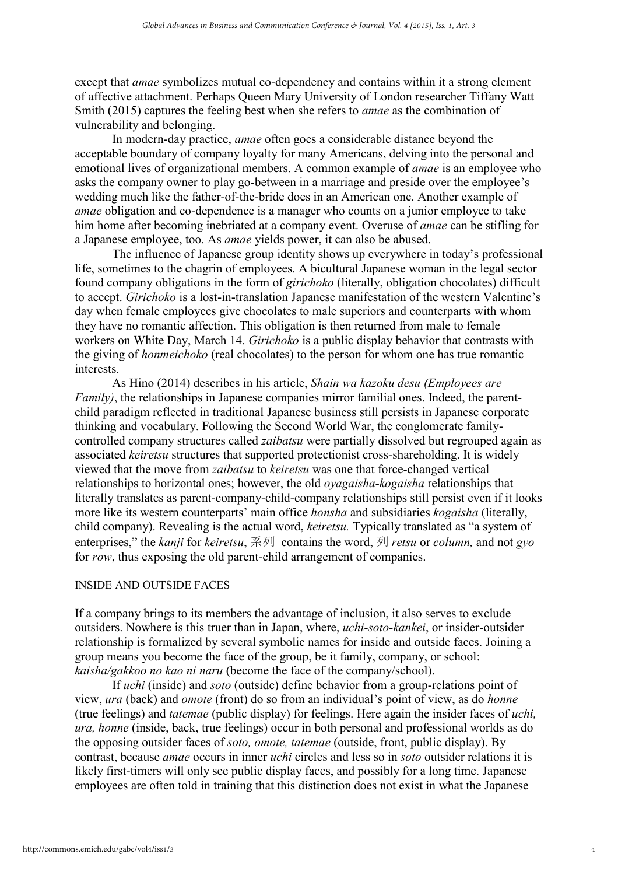except that *amae* symbolizes mutual co-dependency and contains within it a strong element of affective attachment. Perhaps Queen Mary University of London researcher Tiffany Watt Smith (2015) captures the feeling best when she refers to *amae* as the combination of vulnerability and belonging.

In modern-day practice, *amae* often goes a considerable distance beyond the acceptable boundary of company loyalty for many Americans, delving into the personal and emotional lives of organizational members. A common example of *amae* is an employee who asks the company owner to play go-between in a marriage and preside over the employee's wedding much like the father-of-the-bride does in an American one. Another example of *amae* obligation and co-dependence is a manager who counts on a junior employee to take him home after becoming inebriated at a company event. Overuse of *amae* can be stifling for a Japanese employee, too. As *amae* yields power, it can also be abused.

The influence of Japanese group identity shows up everywhere in today's professional life, sometimes to the chagrin of employees. A bicultural Japanese woman in the legal sector found company obligations in the form of *girichoko* (literally, obligation chocolates) difficult to accept. *Girichoko* is a lost-in-translation Japanese manifestation of the western Valentine's day when female employees give chocolates to male superiors and counterparts with whom they have no romantic affection. This obligation is then returned from male to female workers on White Day, March 14. *Girichoko* is a public display behavior that contrasts with the giving of *honmeichoko* (real chocolates) to the person for whom one has true romantic interests.

As Hino (2014) describes in his article, *Shain wa kazoku desu (Employees are Family*), the relationships in Japanese companies mirror familial ones. Indeed, the parentchild paradigm reflected in traditional Japanese business still persists in Japanese corporate thinking and vocabulary. Following the Second World War, the conglomerate familycontrolled company structures called *zaibatsu* were partially dissolved but regrouped again as associated *keiretsu* structures that supported protectionist cross-shareholding. It is widely viewed that the move from *zaibatsu* to *keiretsu* was one that force-changed vertical relationships to horizontal ones; however, the old *oyagaisha-kogaisha* relationships that literally translates as parent-company-child-company relationships still persist even if it looks more like its western counterparts' main office *honsha* and subsidiaries *kogaisha* (literally, child company). Revealing is the actual word, *keiretsu.* Typically translated as "a system of enterprises," the *kanji* for *keiretsu*, 系列 contains the word, 列 *retsu* or *column,* and not *gyo*  for *row*, thus exposing the old parent-child arrangement of companies.

## INSIDE AND OUTSIDE FACES

If a company brings to its members the advantage of inclusion, it also serves to exclude outsiders. Nowhere is this truer than in Japan, where, *uchi-soto-kankei*, or insider-outsider relationship is formalized by several symbolic names for inside and outside faces. Joining a group means you become the face of the group, be it family, company, or school: *kaisha/gakkoo no kao ni naru* (become the face of the company/school).

If *uchi* (inside) and *soto* (outside) define behavior from a group-relations point of view, *ura* (back) and *omote* (front) do so from an individual's point of view, as do *honne* (true feelings) and *tatemae* (public display) for feelings. Here again the insider faces of *uchi, ura, honne* (inside, back, true feelings) occur in both personal and professional worlds as do the opposing outsider faces of *soto, omote, tatemae* (outside, front, public display). By contrast, because *amae* occurs in inner *uchi* circles and less so in *soto* outsider relations it is likely first-timers will only see public display faces, and possibly for a long time. Japanese employees are often told in training that this distinction does not exist in what the Japanese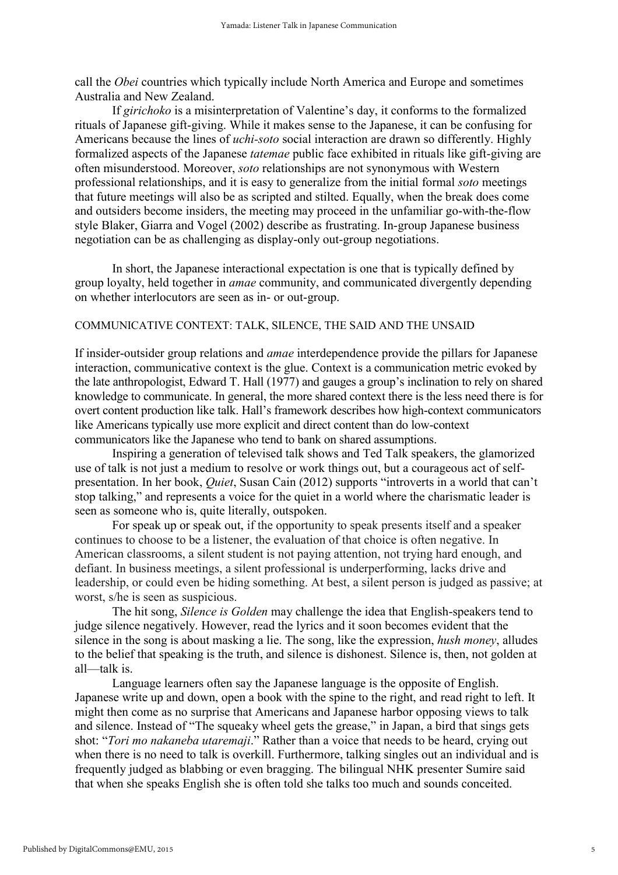call the *Obei* countries which typically include North America and Europe and sometimes Australia and New Zealand.

If *girichoko* is a misinterpretation of Valentine's day, it conforms to the formalized rituals of Japanese gift-giving. While it makes sense to the Japanese, it can be confusing for Americans because the lines of *uchi-soto* social interaction are drawn so differently. Highly formalized aspects of the Japanese *tatemae* public face exhibited in rituals like gift-giving are often misunderstood. Moreover, *soto* relationships are not synonymous with Western professional relationships, and it is easy to generalize from the initial formal *soto* meetings that future meetings will also be as scripted and stilted. Equally, when the break does come and outsiders become insiders, the meeting may proceed in the unfamiliar go-with-the-flow style Blaker, Giarra and Vogel (2002) describe as frustrating. In-group Japanese business negotiation can be as challenging as display-only out-group negotiations.

 In short, the Japanese interactional expectation is one that is typically defined by group loyalty, held together in *amae* community, and communicated divergently depending on whether interlocutors are seen as in- or out-group.

## COMMUNICATIVE CONTEXT: TALK, SILENCE, THE SAID AND THE UNSAID

If insider-outsider group relations and *amae* interdependence provide the pillars for Japanese interaction, communicative context is the glue. Context is a communication metric evoked by the late anthropologist, Edward T. Hall (1977) and gauges a group's inclination to rely on shared knowledge to communicate. In general, the more shared context there is the less need there is for overt content production like talk. Hall's framework describes how high-context communicators like Americans typically use more explicit and direct content than do low-context communicators like the Japanese who tend to bank on shared assumptions.

Inspiring a generation of televised talk shows and Ted Talk speakers, the glamorized use of talk is not just a medium to resolve or work things out, but a courageous act of selfpresentation. In her book, *Quiet*, Susan Cain (2012) supports "introverts in a world that can't stop talking," and represents a voice for the quiet in a world where the charismatic leader is seen as someone who is, quite literally, outspoken.

For speak up or speak out, if the opportunity to speak presents itself and a speaker continues to choose to be a listener, the evaluation of that choice is often negative. In American classrooms, a silent student is not paying attention, not trying hard enough, and defiant. In business meetings, a silent professional is underperforming, lacks drive and leadership, or could even be hiding something. At best, a silent person is judged as passive; at worst, s/he is seen as suspicious.

The hit song, *Silence is Golden* may challenge the idea that English-speakers tend to judge silence negatively. However, read the lyrics and it soon becomes evident that the silence in the song is about masking a lie. The song, like the expression, *hush money*, alludes to the belief that speaking is the truth, and silence is dishonest. Silence is, then, not golden at all—talk is.

Language learners often say the Japanese language is the opposite of English. Japanese write up and down, open a book with the spine to the right, and read right to left. It might then come as no surprise that Americans and Japanese harbor opposing views to talk and silence. Instead of "The squeaky wheel gets the grease," in Japan, a bird that sings gets shot: "*Tori mo nakaneba utaremaji*." Rather than a voice that needs to be heard, crying out when there is no need to talk is overkill. Furthermore, talking singles out an individual and is frequently judged as blabbing or even bragging. The bilingual NHK presenter Sumire said that when she speaks English she is often told she talks too much and sounds conceited.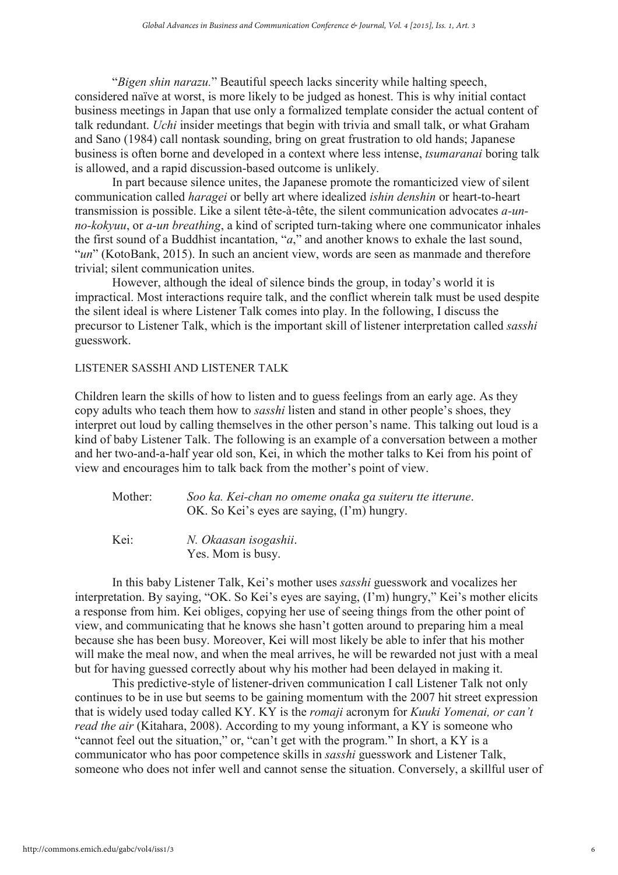"*Bigen shin narazu.*" Beautiful speech lacks sincerity while halting speech, considered naïve at worst, is more likely to be judged as honest. This is why initial contact business meetings in Japan that use only a formalized template consider the actual content of talk redundant. *Uchi* insider meetings that begin with trivia and small talk, or what Graham and Sano (1984) call nontask sounding, bring on great frustration to old hands; Japanese business is often borne and developed in a context where less intense, *tsumaranai* boring talk is allowed, and a rapid discussion-based outcome is unlikely.

In part because silence unites, the Japanese promote the romanticized view of silent communication called *haragei* or belly art where idealized *ishin denshin* or heart-to-heart transmission is possible. Like a silent tête-à-tête, the silent communication advocates *a-unno-kokyuu*, or *a-un breathing*, a kind of scripted turn-taking where one communicator inhales the first sound of a Buddhist incantation, "*a*," and another knows to exhale the last sound, "*un*" (KotoBank, 2015). In such an ancient view, words are seen as manmade and therefore trivial; silent communication unites.

However, although the ideal of silence binds the group, in today's world it is impractical. Most interactions require talk, and the conflict wherein talk must be used despite the silent ideal is where Listener Talk comes into play. In the following, I discuss the precursor to Listener Talk, which is the important skill of listener interpretation called *sasshi* guesswork.

## LISTENER SASSHI AND LISTENER TALK

Children learn the skills of how to listen and to guess feelings from an early age. As they copy adults who teach them how to *sasshi* listen and stand in other people's shoes, they interpret out loud by calling themselves in the other person's name. This talking out loud is a kind of baby Listener Talk. The following is an example of a conversation between a mother and her two-and-a-half year old son, Kei, in which the mother talks to Kei from his point of view and encourages him to talk back from the mother's point of view.

| Mother: | Soo ka. Kei-chan no omeme onaka ga suiteru tte itterune. |
|---------|----------------------------------------------------------|
|         | OK. So Kei's eyes are saying, (I'm) hungry.              |

Kei: *N. Okaasan isogashii*. Yes. Mom is busy.

In this baby Listener Talk, Kei's mother uses *sasshi* guesswork and vocalizes her interpretation. By saying, "OK. So Kei's eyes are saying, (I'm) hungry," Kei's mother elicits a response from him. Kei obliges, copying her use of seeing things from the other point of view, and communicating that he knows she hasn't gotten around to preparing him a meal because she has been busy. Moreover, Kei will most likely be able to infer that his mother will make the meal now, and when the meal arrives, he will be rewarded not just with a meal but for having guessed correctly about why his mother had been delayed in making it.

This predictive-style of listener-driven communication I call Listener Talk not only continues to be in use but seems to be gaining momentum with the 2007 hit street expression that is widely used today called KY. KY is the *romaji* acronym for *Kuuki Yomenai, or can't read the air* (Kitahara, 2008). According to my young informant, a KY is someone who "cannot feel out the situation," or, "can't get with the program." In short, a KY is a communicator who has poor competence skills in *sasshi* guesswork and Listener Talk, someone who does not infer well and cannot sense the situation. Conversely, a skillful user of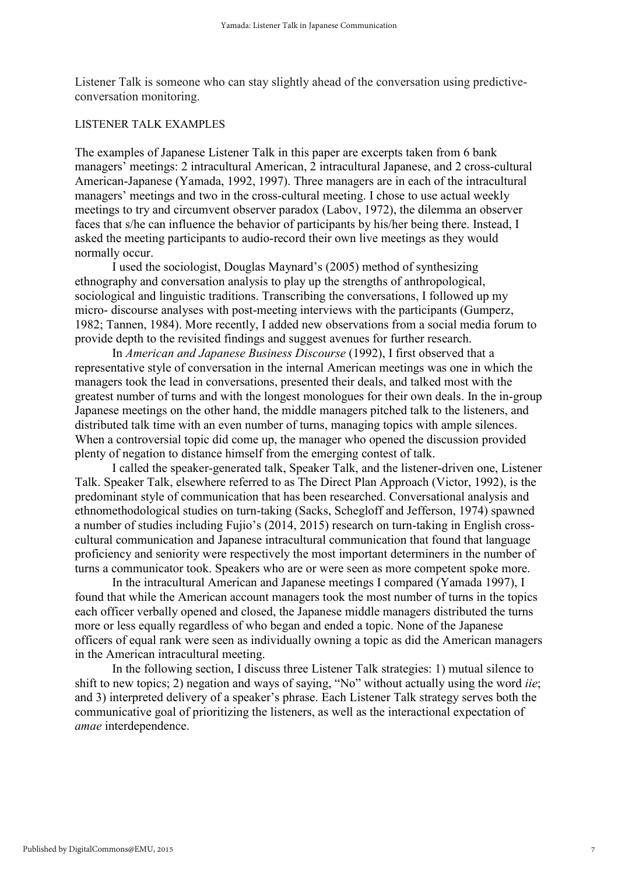Listener Talk is someone who can stay slightly ahead of the conversation using predictiveconversation monitoring.

## LISTENER TALK EXAMPLES

The examples of Japanese Listener Talk in this paper are excerpts taken from 6 bank managers' meetings: 2 intracultural American, 2 intracultural Japanese, and 2 cross-cultural American-Japanese (Yamada, 1992, 1997). Three managers are in each of the intracultural managers' meetings and two in the cross-cultural meeting. I chose to use actual weekly meetings to try and circumvent observer paradox (Labov, 1972), the dilemma an observer faces that s/he can influence the behavior of participants by his/her being there. Instead, I asked the meeting participants to audio-record their own live meetings as they would normally occur.

I used the sociologist, Douglas Maynard's (2005) method of synthesizing ethnography and conversation analysis to play up the strengths of anthropological, sociological and linguistic traditions. Transcribing the conversations, I followed up my micro- discourse analyses with post-meeting interviews with the participants (Gumperz, 1982; Tannen, 1984). More recently, I added new observations from a social media forum to provide depth to the revisited findings and suggest avenues for further research.

In *American and Japanese Business Discourse* (1992), I first observed that a representative style of conversation in the internal American meetings was one in which the managers took the lead in conversations, presented their deals, and talked most with the greatest number of turns and with the longest monologues for their own deals. In the in-group Japanese meetings on the other hand, the middle managers pitched talk to the listeners, and distributed talk time with an even number of turns, managing topics with ample silences. When a controversial topic did come up, the manager who opened the discussion provided plenty of negation to distance himself from the emerging contest of talk.

I called the speaker-generated talk, Speaker Talk, and the listener-driven one, Listener Talk. Speaker Talk, elsewhere referred to as The Direct Plan Approach (Victor, 1992), is the predominant style of communication that has been researched. Conversational analysis and ethnomethodological studies on turn-taking (Sacks, Schegloff and Jefferson, 1974) spawned a number of studies including Fujio's (2014, 2015) research on turn-taking in English crosscultural communication and Japanese intracultural communication that found that language proficiency and seniority were respectively the most important determiners in the number of turns a communicator took. Speakers who are or were seen as more competent spoke more.

In the intracultural American and Japanese meetings I compared (Yamada 1997), I found that while the American account managers took the most number of turns in the topics each officer verbally opened and closed, the Japanese middle managers distributed the turns more or less equally regardless of who began and ended a topic. None of the Japanese officers of equal rank were seen as individually owning a topic as did the American managers in the American intracultural meeting.

In the following section, I discuss three Listener Talk strategies: 1) mutual silence to shift to new topics; 2) negation and ways of saying, "No" without actually using the word *iie*; and 3) interpreted delivery of a speaker's phrase. Each Listener Talk strategy serves both the communicative goal of prioritizing the listeners, as well as the interactional expectation of *amae* interdependence.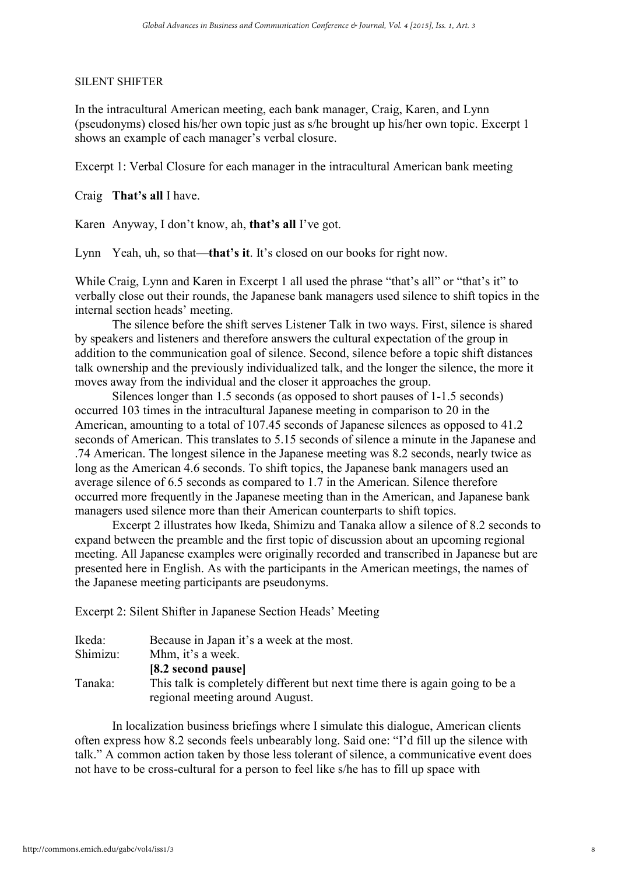## SILENT SHIFTER

In the intracultural American meeting, each bank manager, Craig, Karen, and Lynn (pseudonyms) closed his/her own topic just as s/he brought up his/her own topic. Excerpt 1 shows an example of each manager's verbal closure.

Excerpt 1: Verbal Closure for each manager in the intracultural American bank meeting

Craig **That's all** I have.

Karen Anyway, I don't know, ah, **that's all** I've got.

Lynn Yeah, uh, so that—**that's it**. It's closed on our books for right now.

While Craig, Lynn and Karen in Excerpt 1 all used the phrase "that's all" or "that's it" to verbally close out their rounds, the Japanese bank managers used silence to shift topics in the internal section heads' meeting.

The silence before the shift serves Listener Talk in two ways. First, silence is shared by speakers and listeners and therefore answers the cultural expectation of the group in addition to the communication goal of silence. Second, silence before a topic shift distances talk ownership and the previously individualized talk, and the longer the silence, the more it moves away from the individual and the closer it approaches the group.

Silences longer than 1.5 seconds (as opposed to short pauses of 1-1.5 seconds) occurred 103 times in the intracultural Japanese meeting in comparison to 20 in the American, amounting to a total of 107.45 seconds of Japanese silences as opposed to 41.2 seconds of American. This translates to 5.15 seconds of silence a minute in the Japanese and .74 American. The longest silence in the Japanese meeting was 8.2 seconds, nearly twice as long as the American 4.6 seconds. To shift topics, the Japanese bank managers used an average silence of 6.5 seconds as compared to 1.7 in the American. Silence therefore occurred more frequently in the Japanese meeting than in the American, and Japanese bank managers used silence more than their American counterparts to shift topics.

Excerpt 2 illustrates how Ikeda, Shimizu and Tanaka allow a silence of 8.2 seconds to expand between the preamble and the first topic of discussion about an upcoming regional meeting. All Japanese examples were originally recorded and transcribed in Japanese but are presented here in English. As with the participants in the American meetings, the names of the Japanese meeting participants are pseudonyms.

Excerpt 2: Silent Shifter in Japanese Section Heads' Meeting

| Ikeda:   | Because in Japan it's a week at the most.                                    |
|----------|------------------------------------------------------------------------------|
| Shimizu: | Mhm, it's a week.                                                            |
|          | [8.2 second pause]                                                           |
| Tanaka:  | This talk is completely different but next time there is again going to be a |
|          | regional meeting around August.                                              |

In localization business briefings where I simulate this dialogue, American clients often express how 8.2 seconds feels unbearably long. Said one: "I'd fill up the silence with talk." A common action taken by those less tolerant of silence, a communicative event does not have to be cross-cultural for a person to feel like s/he has to fill up space with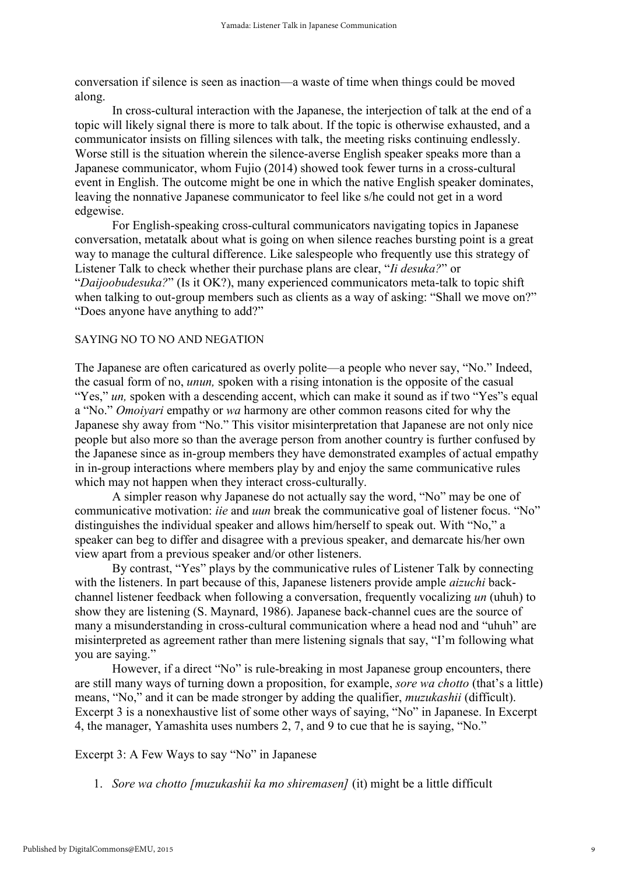conversation if silence is seen as inaction—a waste of time when things could be moved along.

In cross-cultural interaction with the Japanese, the interjection of talk at the end of a topic will likely signal there is more to talk about. If the topic is otherwise exhausted, and a communicator insists on filling silences with talk, the meeting risks continuing endlessly. Worse still is the situation wherein the silence-averse English speaker speaks more than a Japanese communicator, whom Fujio (2014) showed took fewer turns in a cross-cultural event in English. The outcome might be one in which the native English speaker dominates, leaving the nonnative Japanese communicator to feel like s/he could not get in a word edgewise.

For English-speaking cross-cultural communicators navigating topics in Japanese conversation, metatalk about what is going on when silence reaches bursting point is a great way to manage the cultural difference. Like salespeople who frequently use this strategy of Listener Talk to check whether their purchase plans are clear, "*Ii desuka?*" or "*Daijoobudesuka?*" (Is it OK?), many experienced communicators meta-talk to topic shift when talking to out-group members such as clients as a way of asking: "Shall we move on?" "Does anyone have anything to add?"

## SAYING NO TO NO AND NEGATION

The Japanese are often caricatured as overly polite—a people who never say, "No." Indeed, the casual form of no, *unun,* spoken with a rising intonation is the opposite of the casual "Yes," *un*, spoken with a descending accent, which can make it sound as if two "Yes"s equal a "No." *Omoiyari* empathy or *wa* harmony are other common reasons cited for why the Japanese shy away from "No." This visitor misinterpretation that Japanese are not only nice people but also more so than the average person from another country is further confused by the Japanese since as in-group members they have demonstrated examples of actual empathy in in-group interactions where members play by and enjoy the same communicative rules which may not happen when they interact cross-culturally.

A simpler reason why Japanese do not actually say the word, "No" may be one of communicative motivation: *iie* and *uun* break the communicative goal of listener focus. "No" distinguishes the individual speaker and allows him/herself to speak out. With "No," a speaker can beg to differ and disagree with a previous speaker, and demarcate his/her own view apart from a previous speaker and/or other listeners.

By contrast, "Yes" plays by the communicative rules of Listener Talk by connecting with the listeners. In part because of this, Japanese listeners provide ample *aizuchi* backchannel listener feedback when following a conversation, frequently vocalizing *un* (uhuh) to show they are listening (S. Maynard, 1986). Japanese back-channel cues are the source of many a misunderstanding in cross-cultural communication where a head nod and "uhuh" are misinterpreted as agreement rather than mere listening signals that say, "I'm following what you are saying."

However, if a direct "No" is rule-breaking in most Japanese group encounters, there are still many ways of turning down a proposition, for example, *sore wa chotto* (that's a little) means, "No," and it can be made stronger by adding the qualifier, *muzukashii* (difficult). Excerpt 3 is a nonexhaustive list of some other ways of saying, "No" in Japanese. In Excerpt 4, the manager, Yamashita uses numbers 2, 7, and 9 to cue that he is saying, "No."

Excerpt 3: A Few Ways to say "No" in Japanese

1. *Sore wa chotto [muzukashii ka mo shiremasen]* (it) might be a little difficult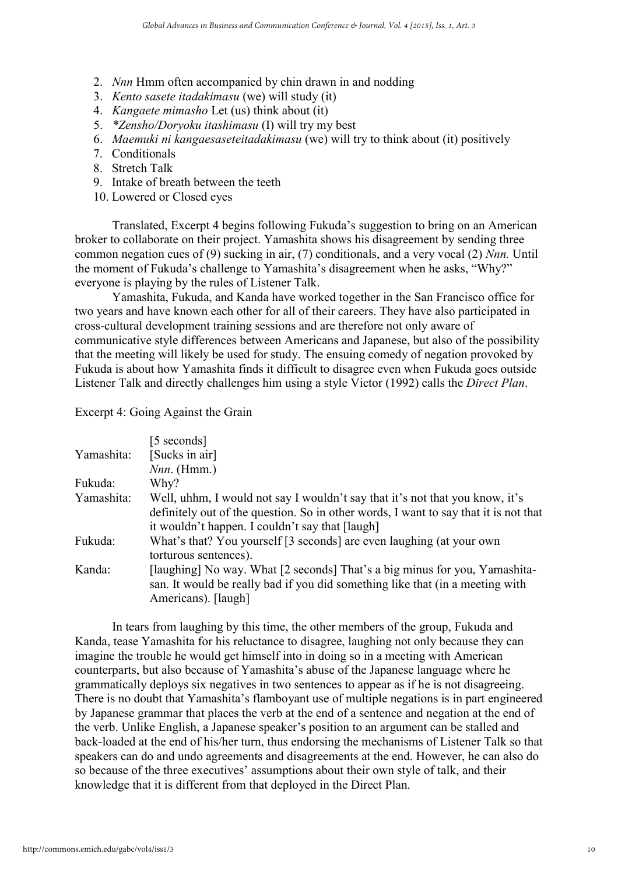- 2. *Nnn* Hmm often accompanied by chin drawn in and nodding
- 3. *Kento sasete itadakimasu* (we) will study (it)
- 4. *Kangaete mimasho* Let (us) think about (it)
- 5. *\*Zensho/Doryoku itashimasu* (I) will try my best
- 6. *Maemuki ni kangaesaseteitadakimasu* (we) will try to think about (it) positively
- 7. Conditionals
- 8. Stretch Talk
- 9. Intake of breath between the teeth
- 10. Lowered or Closed eyes

Translated, Excerpt 4 begins following Fukuda's suggestion to bring on an American broker to collaborate on their project. Yamashita shows his disagreement by sending three common negation cues of (9) sucking in air, (7) conditionals, and a very vocal (2) *Nnn.* Until the moment of Fukuda's challenge to Yamashita's disagreement when he asks, "Why?" everyone is playing by the rules of Listener Talk.

Yamashita, Fukuda, and Kanda have worked together in the San Francisco office for two years and have known each other for all of their careers. They have also participated in cross-cultural development training sessions and are therefore not only aware of communicative style differences between Americans and Japanese, but also of the possibility that the meeting will likely be used for study. The ensuing comedy of negation provoked by Fukuda is about how Yamashita finds it difficult to disagree even when Fukuda goes outside Listener Talk and directly challenges him using a style Victor (1992) calls the *Direct Plan*.

Excerpt 4: Going Against the Grain

|            | [5 seconds]                                                                          |
|------------|--------------------------------------------------------------------------------------|
| Yamashita: | [Sucks in air]                                                                       |
|            | $Nnn.$ (Hmm.)                                                                        |
| Fukuda:    | Why?                                                                                 |
| Yamashita: | Well, uhhm, I would not say I wouldn't say that it's not that you know, it's         |
|            | definitely out of the question. So in other words, I want to say that it is not that |
|            | it wouldn't happen. I couldn't say that [laugh]                                      |
| Fukuda:    | What's that? You yourself [3 seconds] are even laughing (at your own                 |
|            | torturous sentences).                                                                |
| Kanda:     | [laughing] No way. What [2 seconds] That's a big minus for you, Yamashita-           |
|            | san. It would be really bad if you did something like that (in a meeting with        |
|            | Americans). [laugh]                                                                  |

In tears from laughing by this time, the other members of the group, Fukuda and Kanda, tease Yamashita for his reluctance to disagree, laughing not only because they can imagine the trouble he would get himself into in doing so in a meeting with American counterparts, but also because of Yamashita's abuse of the Japanese language where he grammatically deploys six negatives in two sentences to appear as if he is not disagreeing. There is no doubt that Yamashita's flamboyant use of multiple negations is in part engineered by Japanese grammar that places the verb at the end of a sentence and negation at the end of the verb. Unlike English, a Japanese speaker's position to an argument can be stalled and back-loaded at the end of his/her turn, thus endorsing the mechanisms of Listener Talk so that speakers can do and undo agreements and disagreements at the end. However, he can also do so because of the three executives' assumptions about their own style of talk, and their knowledge that it is different from that deployed in the Direct Plan.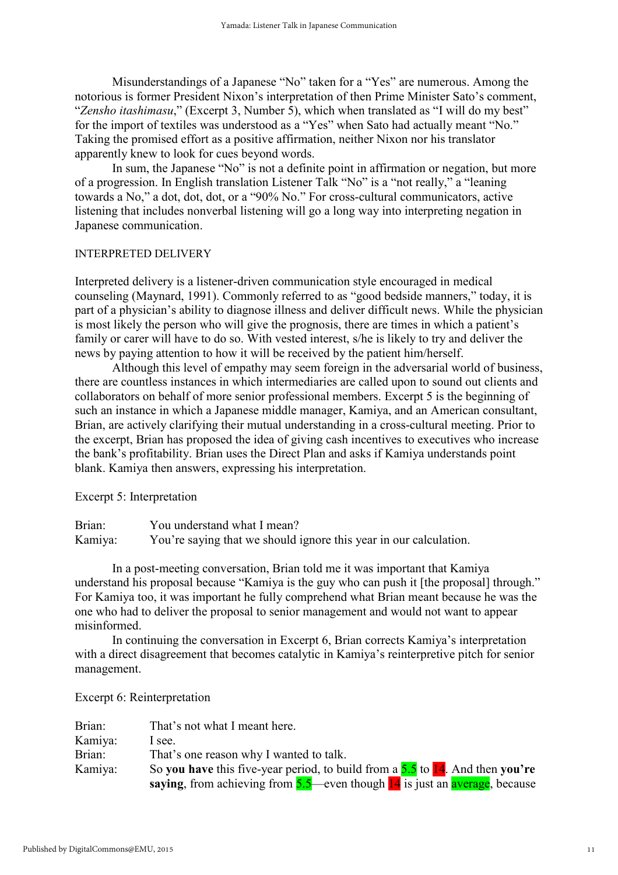Misunderstandings of a Japanese "No" taken for a "Yes" are numerous. Among the notorious is former President Nixon's interpretation of then Prime Minister Sato's comment, "*Zensho itashimasu*," (Excerpt 3, Number 5), which when translated as "I will do my best" for the import of textiles was understood as a "Yes" when Sato had actually meant "No." Taking the promised effort as a positive affirmation, neither Nixon nor his translator apparently knew to look for cues beyond words.

In sum, the Japanese "No" is not a definite point in affirmation or negation, but more of a progression. In English translation Listener Talk "No" is a "not really," a "leaning towards a No," a dot, dot, dot, or a "90% No." For cross-cultural communicators, active listening that includes nonverbal listening will go a long way into interpreting negation in Japanese communication.

## INTERPRETED DELIVERY

Interpreted delivery is a listener-driven communication style encouraged in medical counseling (Maynard, 1991). Commonly referred to as "good bedside manners," today, it is part of a physician's ability to diagnose illness and deliver difficult news. While the physician is most likely the person who will give the prognosis, there are times in which a patient's family or carer will have to do so. With vested interest, s/he is likely to try and deliver the news by paying attention to how it will be received by the patient him/herself.

Although this level of empathy may seem foreign in the adversarial world of business, there are countless instances in which intermediaries are called upon to sound out clients and collaborators on behalf of more senior professional members. Excerpt 5 is the beginning of such an instance in which a Japanese middle manager, Kamiya, and an American consultant, Brian, are actively clarifying their mutual understanding in a cross-cultural meeting. Prior to the excerpt, Brian has proposed the idea of giving cash incentives to executives who increase the bank's profitability. Brian uses the Direct Plan and asks if Kamiya understands point blank. Kamiya then answers, expressing his interpretation.

Excerpt 5: Interpretation

Brian: You understand what I mean? Kamiya: You're saying that we should ignore this year in our calculation.

In a post-meeting conversation, Brian told me it was important that Kamiya understand his proposal because "Kamiya is the guy who can push it [the proposal] through." For Kamiya too, it was important he fully comprehend what Brian meant because he was the one who had to deliver the proposal to senior management and would not want to appear misinformed.

In continuing the conversation in Excerpt 6, Brian corrects Kamiya's interpretation with a direct disagreement that becomes catalytic in Kamiya's reinterpretive pitch for senior management.

Excerpt 6: Reinterpretation

| Brian:  | That's not what I meant here.                                                      |
|---------|------------------------------------------------------------------------------------|
| Kamiya: | I see.                                                                             |
| Brian:  | That's one reason why I wanted to talk.                                            |
| Kamiya: | So you have this five-year period, to build from a $5.5$ to $14$ . And then you're |
|         | saying, from achieving from $5.5$ —even though $14$ is just an average, because    |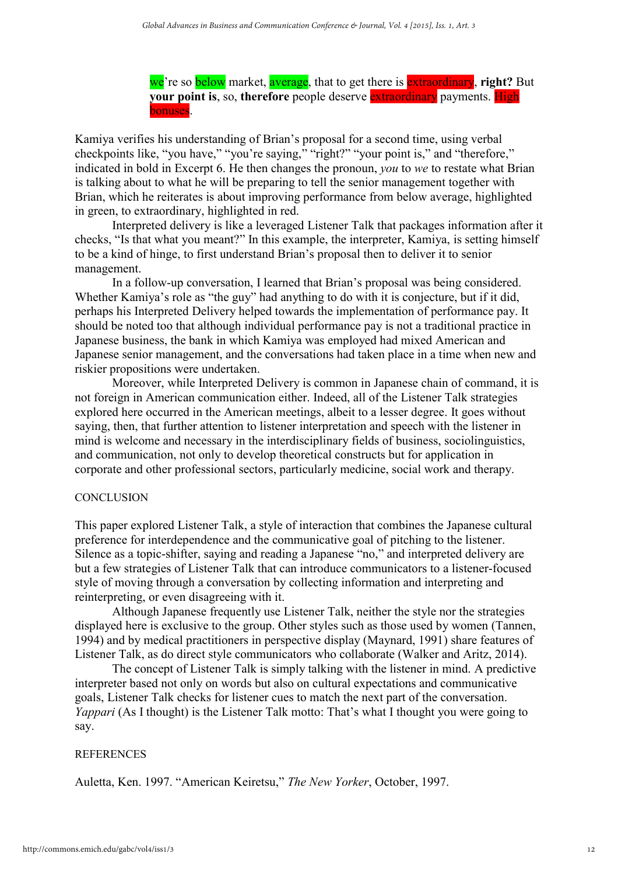we're so below market, average, that to get there is extraordinary, **right?** But **your point is, so, therefore** people deserve **extraordinary** payments. **High** bonuses.

Kamiya verifies his understanding of Brian's proposal for a second time, using verbal checkpoints like, "you have," "you're saying," "right?" "your point is," and "therefore," indicated in bold in Excerpt 6. He then changes the pronoun, *you* to *we* to restate what Brian is talking about to what he will be preparing to tell the senior management together with Brian, which he reiterates is about improving performance from below average, highlighted in green, to extraordinary, highlighted in red.

Interpreted delivery is like a leveraged Listener Talk that packages information after it checks, "Is that what you meant?" In this example, the interpreter, Kamiya, is setting himself to be a kind of hinge, to first understand Brian's proposal then to deliver it to senior management.

In a follow-up conversation, I learned that Brian's proposal was being considered. Whether Kamiya's role as "the guy" had anything to do with it is conjecture, but if it did, perhaps his Interpreted Delivery helped towards the implementation of performance pay. It should be noted too that although individual performance pay is not a traditional practice in Japanese business, the bank in which Kamiya was employed had mixed American and Japanese senior management, and the conversations had taken place in a time when new and riskier propositions were undertaken.

Moreover, while Interpreted Delivery is common in Japanese chain of command, it is not foreign in American communication either. Indeed, all of the Listener Talk strategies explored here occurred in the American meetings, albeit to a lesser degree. It goes without saying, then, that further attention to listener interpretation and speech with the listener in mind is welcome and necessary in the interdisciplinary fields of business, sociolinguistics, and communication, not only to develop theoretical constructs but for application in corporate and other professional sectors, particularly medicine, social work and therapy.

## **CONCLUSION**

This paper explored Listener Talk, a style of interaction that combines the Japanese cultural preference for interdependence and the communicative goal of pitching to the listener. Silence as a topic-shifter, saying and reading a Japanese "no," and interpreted delivery are but a few strategies of Listener Talk that can introduce communicators to a listener-focused style of moving through a conversation by collecting information and interpreting and reinterpreting, or even disagreeing with it.

Although Japanese frequently use Listener Talk, neither the style nor the strategies displayed here is exclusive to the group. Other styles such as those used by women (Tannen, 1994) and by medical practitioners in perspective display (Maynard, 1991) share features of Listener Talk, as do direct style communicators who collaborate (Walker and Aritz, 2014).

The concept of Listener Talk is simply talking with the listener in mind. A predictive interpreter based not only on words but also on cultural expectations and communicative goals, Listener Talk checks for listener cues to match the next part of the conversation. *Yappari* (As I thought) is the Listener Talk motto: That's what I thought you were going to say.

## REFERENCES

Auletta, Ken. 1997. "American Keiretsu," *The New Yorker*, October, 1997.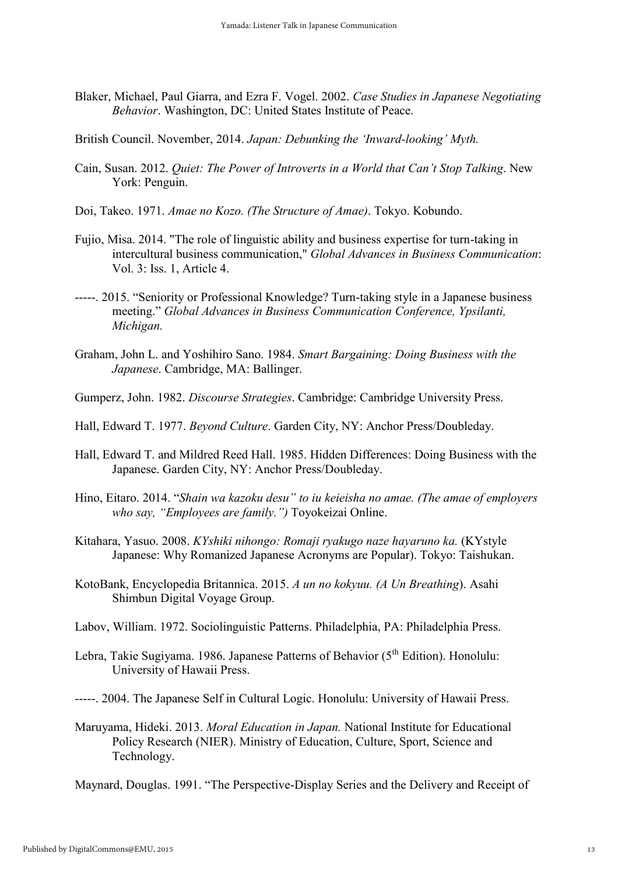- Blaker, Michael, Paul Giarra, and Ezra F. Vogel. 2002. *Case Studies in Japanese Negotiating Behavior*. Washington, DC: United States Institute of Peace.
- British Council. November, 2014. *Japan: Debunking the 'Inward-looking' Myth.*
- Cain, Susan. 2012. *Quiet: The Power of Introverts in a World that Can't Stop Talking*. New York: Penguin.
- Doi, Takeo. 1971. *Amae no Kozo. (The Structure of Amae)*. Tokyo. Kobundo.
- Fujio, Misa. 2014. "The role of linguistic ability and business expertise for turn-taking in intercultural business communication," *Global Advances in Business Communication*: Vol. 3: Iss. 1, Article 4.
- -----. 2015. "Seniority or Professional Knowledge? Turn-taking style in a Japanese business meeting." *Global Advances in Business Communication Conference, Ypsilanti, Michigan.*
- Graham, John L. and Yoshihiro Sano. 1984. *Smart Bargaining: Doing Business with the Japanese*. Cambridge, MA: Ballinger.
- Gumperz, John. 1982. *Discourse Strategies*. Cambridge: Cambridge University Press.
- Hall, Edward T. 1977. *Beyond Culture*. Garden City, NY: Anchor Press/Doubleday.
- Hall, Edward T. and Mildred Reed Hall. 1985. Hidden Differences: Doing Business with the Japanese. Garden City, NY: Anchor Press/Doubleday.
- Hino, Eitaro. 2014. "*Shain wa kazoku desu" to iu keieisha no amae. (The amae of employers who say, "Employees are family.")* Toyokeizai Online.
- Kitahara, Yasuo. 2008. *KYshiki nihongo: Romaji ryakugo naze hayaruno ka.* (KYstyle Japanese: Why Romanized Japanese Acronyms are Popular). Tokyo: Taishukan.
- KotoBank, Encyclopedia Britannica. 2015. *A un no kokyuu. (A Un Breathing*). Asahi Shimbun Digital Voyage Group.
- Labov, William. 1972. Sociolinguistic Patterns. Philadelphia, PA: Philadelphia Press.
- Lebra, Takie Sugiyama. 1986. Japanese Patterns of Behavior (5<sup>th</sup> Edition). Honolulu: University of Hawaii Press.
- -----. 2004. The Japanese Self in Cultural Logic. Honolulu: University of Hawaii Press.
- Maruyama, Hideki. 2013. *Moral Education in Japan.* National Institute for Educational Policy Research (NIER). Ministry of Education, Culture, Sport, Science and Technology.

Maynard, Douglas. 1991. "The Perspective-Display Series and the Delivery and Receipt of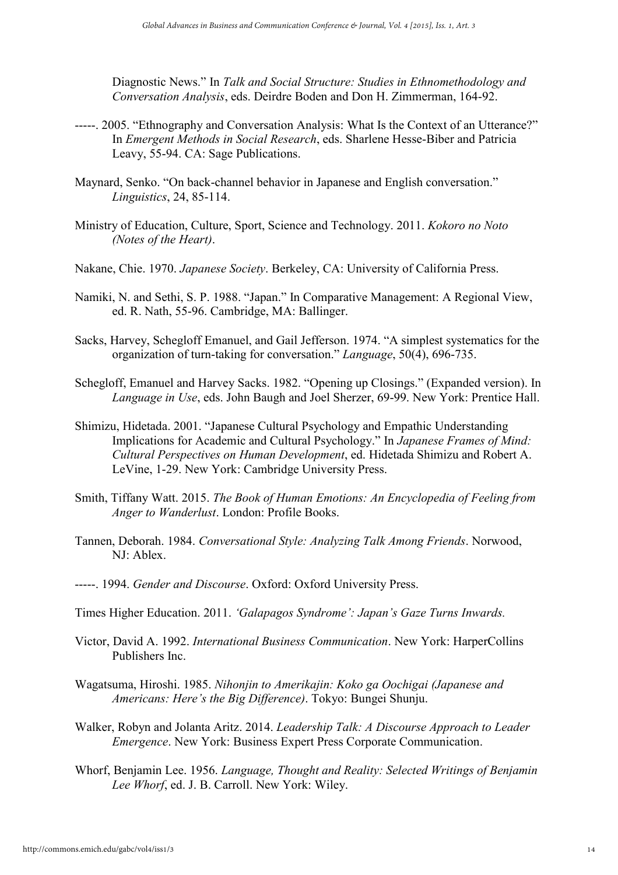Diagnostic News." In *Talk and Social Structure: Studies in Ethnomethodology and Conversation Analysis*, eds. Deirdre Boden and Don H. Zimmerman, 164-92.

- -----. 2005. "Ethnography and Conversation Analysis: What Is the Context of an Utterance?" In *Emergent Methods in Social Research*, eds. Sharlene Hesse-Biber and Patricia Leavy, 55-94. CA: Sage Publications.
- Maynard, Senko. "On back-channel behavior in Japanese and English conversation." *Linguistics*, 24, 85-114.
- Ministry of Education, Culture, Sport, Science and Technology. 2011. *Kokoro no Noto (Notes of the Heart)*.
- Nakane, Chie. 1970. *Japanese Society*. Berkeley, CA: University of California Press.
- Namiki, N. and Sethi, S. P. 1988. "Japan." In Comparative Management: A Regional View, ed. R. Nath, 55-96. Cambridge, MA: Ballinger.
- Sacks, Harvey, Schegloff Emanuel, and Gail Jefferson. 1974. "A simplest systematics for the organization of turn-taking for conversation." *Language*, 50(4), 696-735.
- Schegloff, Emanuel and Harvey Sacks. 1982. "Opening up Closings." (Expanded version). In *Language in Use*, eds. John Baugh and Joel Sherzer, 69-99. New York: Prentice Hall.
- Shimizu, Hidetada. 2001. "Japanese Cultural Psychology and Empathic Understanding Implications for Academic and Cultural Psychology." In *Japanese Frames of Mind: Cultural Perspectives on Human Development*, ed. Hidetada Shimizu and Robert A. LeVine, 1-29. New York: Cambridge University Press.
- Smith, Tiffany Watt. 2015. *The Book of Human Emotions: An Encyclopedia of Feeling from Anger to Wanderlust*. London: Profile Books.
- Tannen, Deborah. 1984. *Conversational Style: Analyzing Talk Among Friends*. Norwood,  $NJ \cdot$  Ablex.
- -----. 1994. *Gender and Discourse*. Oxford: Oxford University Press.
- Times Higher Education. 2011. *'Galapagos Syndrome': Japan's Gaze Turns Inwards.*
- Victor, David A. 1992. *International Business Communication*. New York: HarperCollins Publishers Inc.
- Wagatsuma, Hiroshi. 1985. *Nihonjin to Amerikajin: Koko ga Oochigai (Japanese and Americans: Here's the Big Difference)*. Tokyo: Bungei Shunju.
- Walker, Robyn and Jolanta Aritz. 2014. *Leadership Talk: A Discourse Approach to Leader Emergence*. New York: Business Expert Press Corporate Communication.
- Whorf, Benjamin Lee. 1956. *Language, Thought and Reality: Selected Writings of Benjamin Lee Whorf*, ed. J. B. Carroll. New York: Wiley.